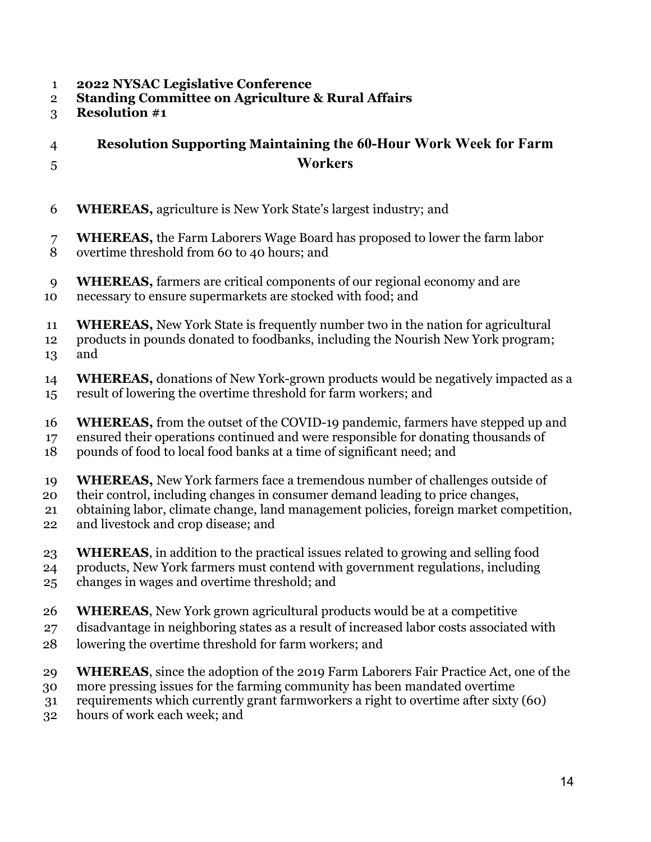- 1 **2022 NYSAC Legislative Conference**
- 2 **Standing Committee on Agriculture & Rural Affairs**
- 3 **Resolution #1**

## 4 **Resolution Supporting Maintaining the 60-Hour Work Week for Farm**  5 **Workers**

- 6 **WHEREAS,** agriculture is New York State's largest industry; and
- 7 **WHEREAS,** the Farm Laborers Wage Board has proposed to lower the farm labor 8 overtime threshold from 60 to 40 hours; and
- 
- 9 **WHEREAS,** farmers are critical components of our regional economy and are 10 necessary to ensure supermarkets are stocked with food; and
- 11 **WHEREAS,** New York State is frequently number two in the nation for agricultural
- 12 products in pounds donated to foodbanks, including the Nourish New York program;
- 13 and
- 14 **WHEREAS,** donations of New York-grown products would be negatively impacted as a 15 result of lowering the overtime threshold for farm workers; and
- 16 **WHEREAS,** from the outset of the COVID-19 pandemic, farmers have stepped up and
- 17 ensured their operations continued and were responsible for donating thousands of
- 18 pounds of food to local food banks at a time of significant need; and
- 19 **WHEREAS,** New York farmers face a tremendous number of challenges outside of
- 20 their control, including changes in consumer demand leading to price changes,
- 21 obtaining labor, climate change, land management policies, foreign market competition,
- 22 and livestock and crop disease; and
- 23 **WHEREAS**, in addition to the practical issues related to growing and selling food
- 24 products, New York farmers must contend with government regulations, including
- 25 changes in wages and overtime threshold; and
- 26 **WHEREAS**, New York grown agricultural products would be at a competitive
- 27 disadvantage in neighboring states as a result of increased labor costs associated with
- 28 lowering the overtime threshold for farm workers; and
- 29 **WHEREAS**, since the adoption of the 2019 Farm Laborers Fair Practice Act, one of the
- 30 more pressing issues for the farming community has been mandated overtime
- 31 requirements which currently grant farmworkers a right to overtime after sixty (60)
- 32 hours of work each week; and